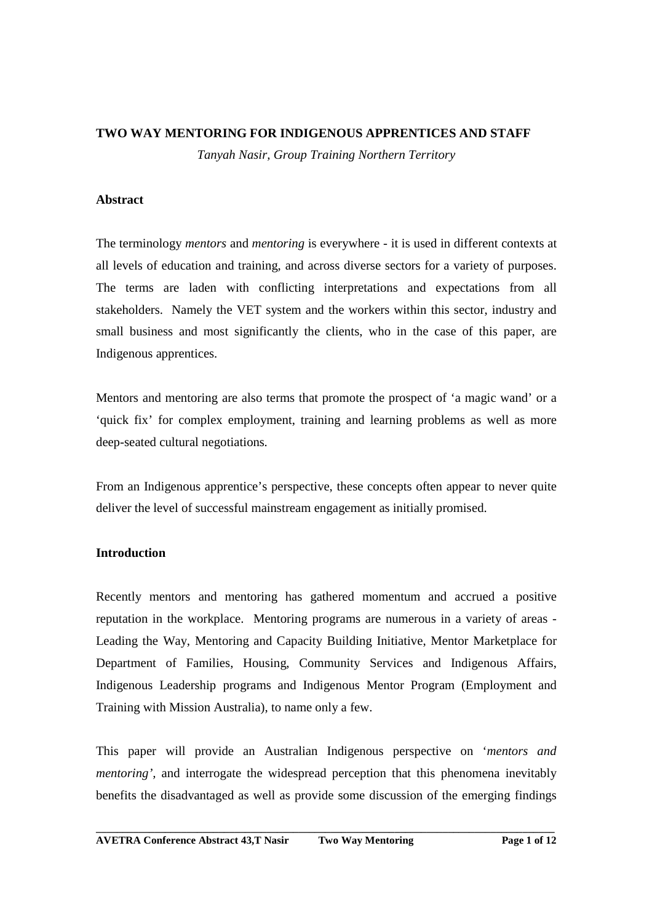#### **TWO WAY MENTORING FOR INDIGENOUS APPRENTICES AND STAFF**

*Tanyah Nasir, Group Training Northern Territory* 

## **Abstract**

The terminology *mentors* and *mentoring* is everywhere - it is used in different contexts at all levels of education and training, and across diverse sectors for a variety of purposes. The terms are laden with conflicting interpretations and expectations from all stakeholders. Namely the VET system and the workers within this sector, industry and small business and most significantly the clients, who in the case of this paper, are Indigenous apprentices.

Mentors and mentoring are also terms that promote the prospect of 'a magic wand' or a 'quick fix' for complex employment, training and learning problems as well as more deep-seated cultural negotiations*.*

From an Indigenous apprentice's perspective, these concepts often appear to never quite deliver the level of successful mainstream engagement as initially promised.

# **Introduction**

Recently mentors and mentoring has gathered momentum and accrued a positive reputation in the workplace. Mentoring programs are numerous in a variety of areas - Leading the Way, Mentoring and Capacity Building Initiative, Mentor Marketplace for Department of Families, Housing, Community Services and Indigenous Affairs, Indigenous Leadership programs and Indigenous Mentor Program (Employment and Training with Mission Australia), to name only a few.

This paper will provide an Australian Indigenous perspective on '*mentors and mentoring'*, and interrogate the widespread perception that this phenomena inevitably benefits the disadvantaged as well as provide some discussion of the emerging findings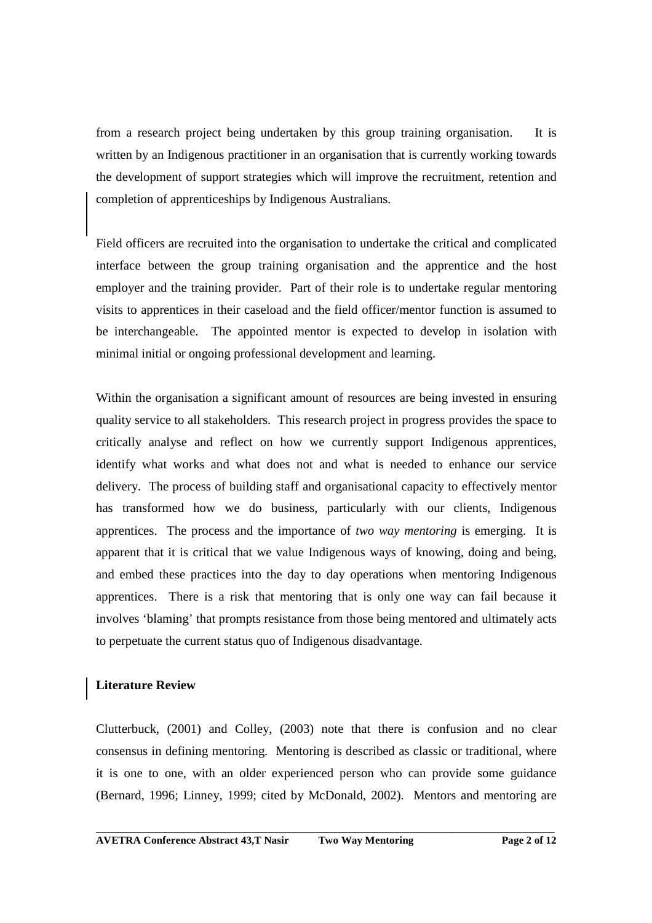from a research project being undertaken by this group training organisation. It is written by an Indigenous practitioner in an organisation that is currently working towards the development of support strategies which will improve the recruitment, retention and completion of apprenticeships by Indigenous Australians.

Field officers are recruited into the organisation to undertake the critical and complicated interface between the group training organisation and the apprentice and the host employer and the training provider. Part of their role is to undertake regular mentoring visits to apprentices in their caseload and the field officer/mentor function is assumed to be interchangeable. The appointed mentor is expected to develop in isolation with minimal initial or ongoing professional development and learning.

Within the organisation a significant amount of resources are being invested in ensuring quality service to all stakeholders. This research project in progress provides the space to critically analyse and reflect on how we currently support Indigenous apprentices, identify what works and what does not and what is needed to enhance our service delivery. The process of building staff and organisational capacity to effectively mentor has transformed how we do business, particularly with our clients, Indigenous apprentices. The process and the importance of *two way mentoring* is emerging. It is apparent that it is critical that we value Indigenous ways of knowing, doing and being, and embed these practices into the day to day operations when mentoring Indigenous apprentices. There is a risk that mentoring that is only one way can fail because it involves 'blaming' that prompts resistance from those being mentored and ultimately acts to perpetuate the current status quo of Indigenous disadvantage.

# **Literature Review**

Clutterbuck, (2001) and Colley, (2003) note that there is confusion and no clear consensus in defining mentoring. Mentoring is described as classic or traditional, where it is one to one, with an older experienced person who can provide some guidance (Bernard, 1996; Linney, 1999; cited by McDonald, 2002).Mentors and mentoring are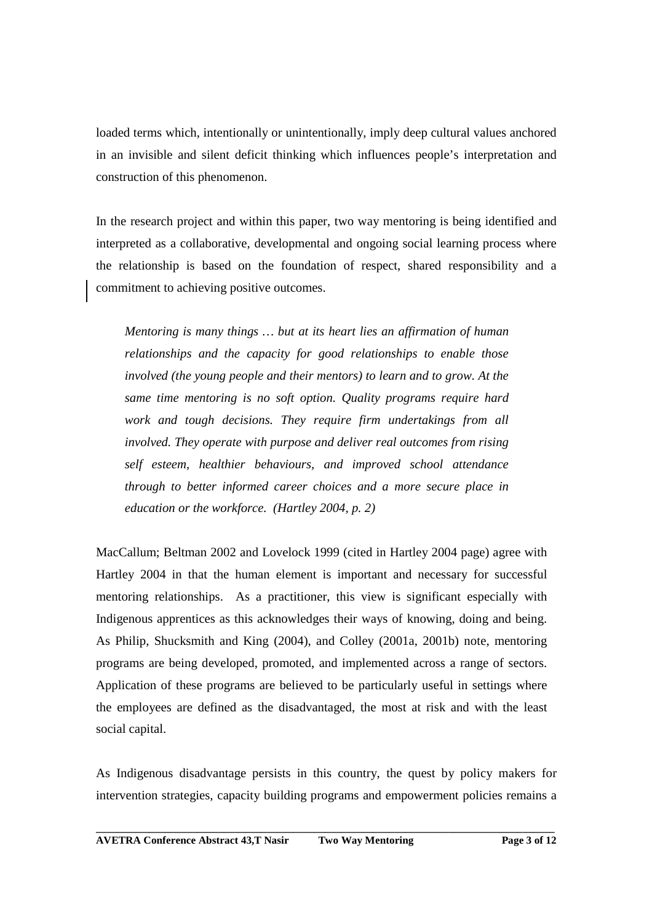loaded terms which, intentionally or unintentionally, imply deep cultural values anchored in an invisible and silent deficit thinking which influences people's interpretation and construction of this phenomenon.

In the research project and within this paper, two way mentoring is being identified and interpreted as a collaborative, developmental and ongoing social learning process where the relationship is based on the foundation of respect, shared responsibility and a commitment to achieving positive outcomes.

*Mentoring is many things … but at its heart lies an affirmation of human relationships and the capacity for good relationships to enable those involved (the young people and their mentors) to learn and to grow. At the same time mentoring is no soft option. Quality programs require hard work and tough decisions. They require firm undertakings from all involved. They operate with purpose and deliver real outcomes from rising self esteem, healthier behaviours, and improved school attendance through to better informed career choices and a more secure place in education or the workforce. (Hartley 2004, p. 2)* 

MacCallum; Beltman 2002 and Lovelock 1999 (cited in Hartley 2004 page) agree with Hartley 2004 in that the human element is important and necessary for successful mentoring relationships. As a practitioner, this view is significant especially with Indigenous apprentices as this acknowledges their ways of knowing, doing and being. As Philip, Shucksmith and King (2004), and Colley (2001a, 2001b) note, mentoring programs are being developed, promoted, and implemented across a range of sectors. Application of these programs are believed to be particularly useful in settings where the employees are defined as the disadvantaged, the most at risk and with the least social capital.

As Indigenous disadvantage persists in this country, the quest by policy makers for intervention strategies, capacity building programs and empowerment policies remains a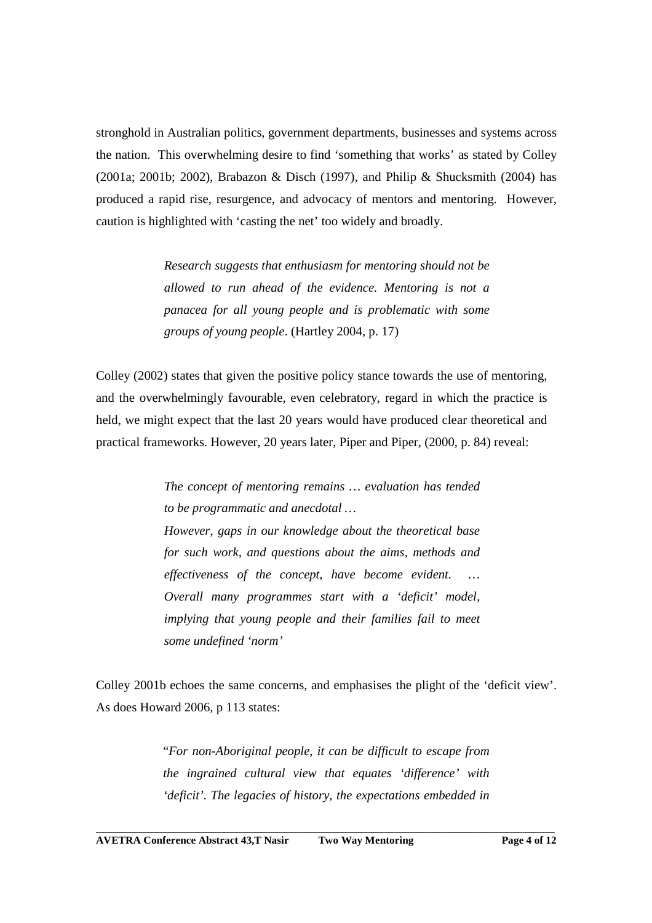stronghold in Australian politics, government departments, businesses and systems across the nation. This overwhelming desire to find 'something that works' as stated by Colley (2001a; 2001b; 2002), Brabazon & Disch (1997), and Philip & Shucksmith (2004) has produced a rapid rise, resurgence, and advocacy of mentors and mentoring. However, caution is highlighted with 'casting the net' too widely and broadly.

> *Research suggests that enthusiasm for mentoring should not be allowed to run ahead of the evidence. Mentoring is not a panacea for all young people and is problematic with some groups of young people*. (Hartley 2004, p. 17)

Colley (2002) states that given the positive policy stance towards the use of mentoring, and the overwhelmingly favourable, even celebratory, regard in which the practice is held, we might expect that the last 20 years would have produced clear theoretical and practical frameworks. However, 20 years later, Piper and Piper, (2000, p. 84) reveal:

> *The concept of mentoring remains … evaluation has tended to be programmatic and anecdotal … However, gaps in our knowledge about the theoretical base for such work, and questions about the aims, methods and effectiveness of the concept, have become evident. … Overall many programmes start with a 'deficit' model, implying that young people and their families fail to meet some undefined 'norm'*

Colley 2001b echoes the same concerns, and emphasises the plight of the 'deficit view'. As does Howard 2006, p 113 states:

> "*For non-Aboriginal people, it can be difficult to escape from the ingrained cultural view that equates 'difference' with 'deficit'. The legacies of history, the expectations embedded in*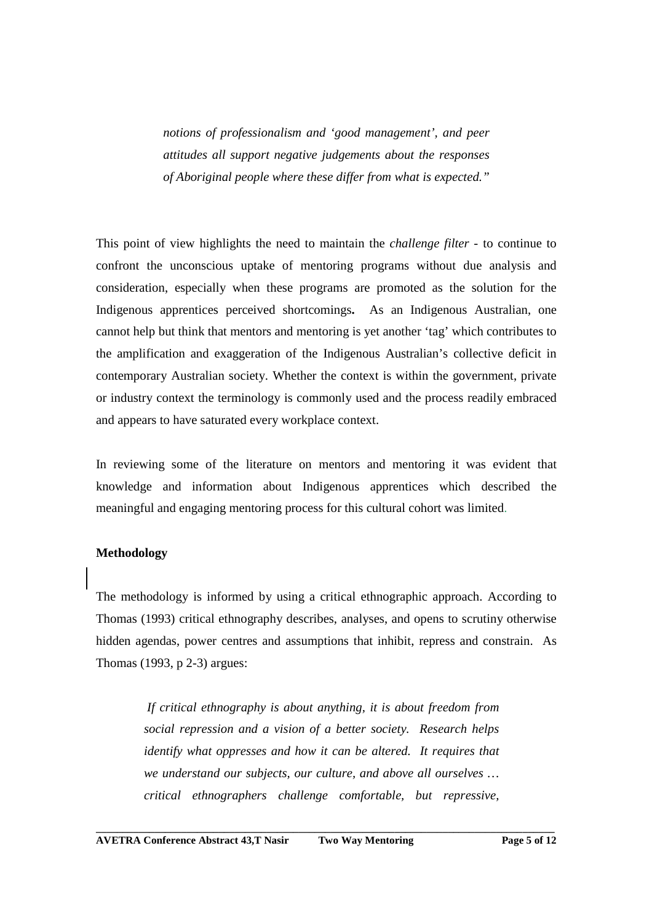*notions of professionalism and 'good management', and peer attitudes all support negative judgements about the responses of Aboriginal people where these differ from what is expected."*

This point of view highlights the need to maintain the *challenge filter* - to continue to confront the unconscious uptake of mentoring programs without due analysis and consideration, especially when these programs are promoted as the solution for the Indigenous apprentices perceived shortcomings**.** As an Indigenous Australian, one cannot help but think that mentors and mentoring is yet another 'tag' which contributes to the amplification and exaggeration of the Indigenous Australian's collective deficit in contemporary Australian society. Whether the context is within the government, private or industry context the terminology is commonly used and the process readily embraced and appears to have saturated every workplace context.

In reviewing some of the literature on mentors and mentoring it was evident that knowledge and information about Indigenous apprentices which described the meaningful and engaging mentoring process for this cultural cohort was limited.

#### **Methodology**

The methodology is informed by using a critical ethnographic approach. According to Thomas (1993) critical ethnography describes, analyses, and opens to scrutiny otherwise hidden agendas, power centres and assumptions that inhibit, repress and constrain. As Thomas (1993, p 2-3) argues:

> *If critical ethnography is about anything, it is about freedom from social repression and a vision of a better society. Research helps identify what oppresses and how it can be altered. It requires that we understand our subjects, our culture, and above all ourselves … critical ethnographers challenge comfortable, but repressive,*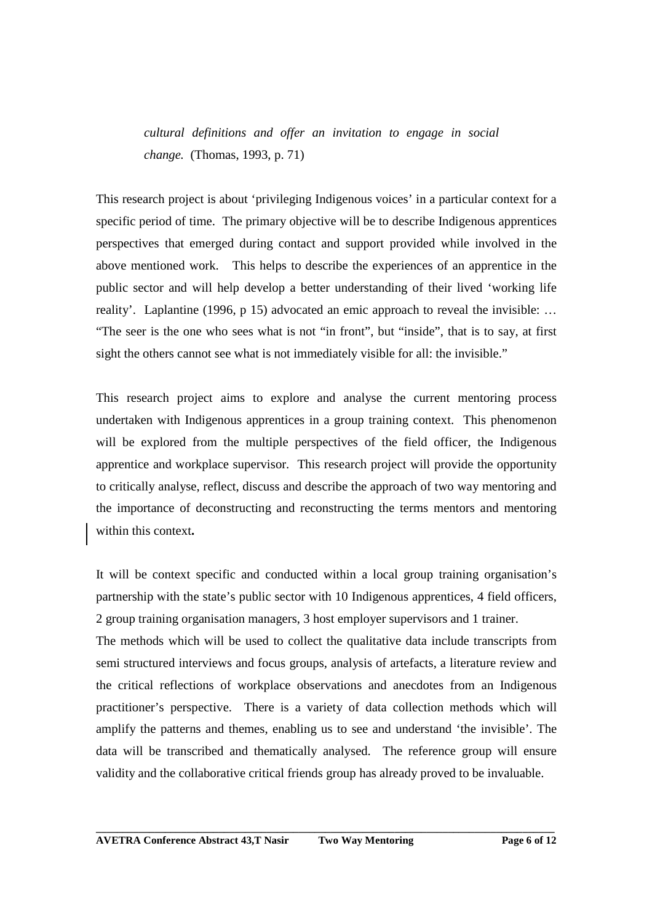*cultural definitions and offer an invitation to engage in social change.* (Thomas, 1993, p. 71)

This research project is about 'privileging Indigenous voices' in a particular context for a specific period of time. The primary objective will be to describe Indigenous apprentices perspectives that emerged during contact and support provided while involved in the above mentioned work. This helps to describe the experiences of an apprentice in the public sector and will help develop a better understanding of their lived 'working life reality'. Laplantine (1996, p 15) advocated an emic approach to reveal the invisible: … "The seer is the one who sees what is not "in front", but "inside", that is to say, at first sight the others cannot see what is not immediately visible for all: the invisible."

This research project aims to explore and analyse the current mentoring process undertaken with Indigenous apprentices in a group training context. This phenomenon will be explored from the multiple perspectives of the field officer, the Indigenous apprentice and workplace supervisor. This research project will provide the opportunity to critically analyse, reflect, discuss and describe the approach of two way mentoring and the importance of deconstructing and reconstructing the terms mentors and mentoring within this context**.** 

It will be context specific and conducted within a local group training organisation's partnership with the state's public sector with 10 Indigenous apprentices, 4 field officers, 2 group training organisation managers, 3 host employer supervisors and 1 trainer.

The methods which will be used to collect the qualitative data include transcripts from semi structured interviews and focus groups, analysis of artefacts, a literature review and the critical reflections of workplace observations and anecdotes from an Indigenous practitioner's perspective. There is a variety of data collection methods which will amplify the patterns and themes, enabling us to see and understand 'the invisible'. The data will be transcribed and thematically analysed. The reference group will ensure validity and the collaborative critical friends group has already proved to be invaluable.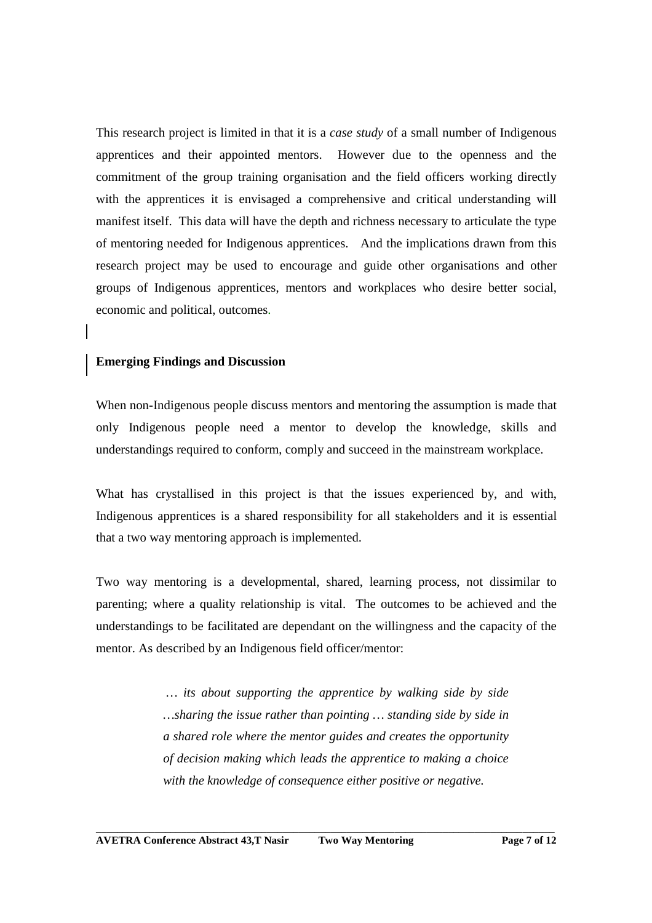This research project is limited in that it is a *case study* of a small number of Indigenous apprentices and their appointed mentors. However due to the openness and the commitment of the group training organisation and the field officers working directly with the apprentices it is envisaged a comprehensive and critical understanding will manifest itself. This data will have the depth and richness necessary to articulate the type of mentoring needed for Indigenous apprentices. And the implications drawn from this research project may be used to encourage and guide other organisations and other groups of Indigenous apprentices, mentors and workplaces who desire better social, economic and political, outcomes.

## **Emerging Findings and Discussion**

When non-Indigenous people discuss mentors and mentoring the assumption is made that only Indigenous people need a mentor to develop the knowledge, skills and understandings required to conform, comply and succeed in the mainstream workplace.

What has crystallised in this project is that the issues experienced by, and with, Indigenous apprentices is a shared responsibility for all stakeholders and it is essential that a two way mentoring approach is implemented.

Two way mentoring is a developmental, shared, learning process, not dissimilar to parenting; where a quality relationship is vital. The outcomes to be achieved and the understandings to be facilitated are dependant on the willingness and the capacity of the mentor. As described by an Indigenous field officer/mentor:

> *… its about supporting the apprentice by walking side by side …sharing the issue rather than pointing … standing side by side in a shared role where the mentor guides and creates the opportunity of decision making which leads the apprentice to making a choice with the knowledge of consequence either positive or negative.*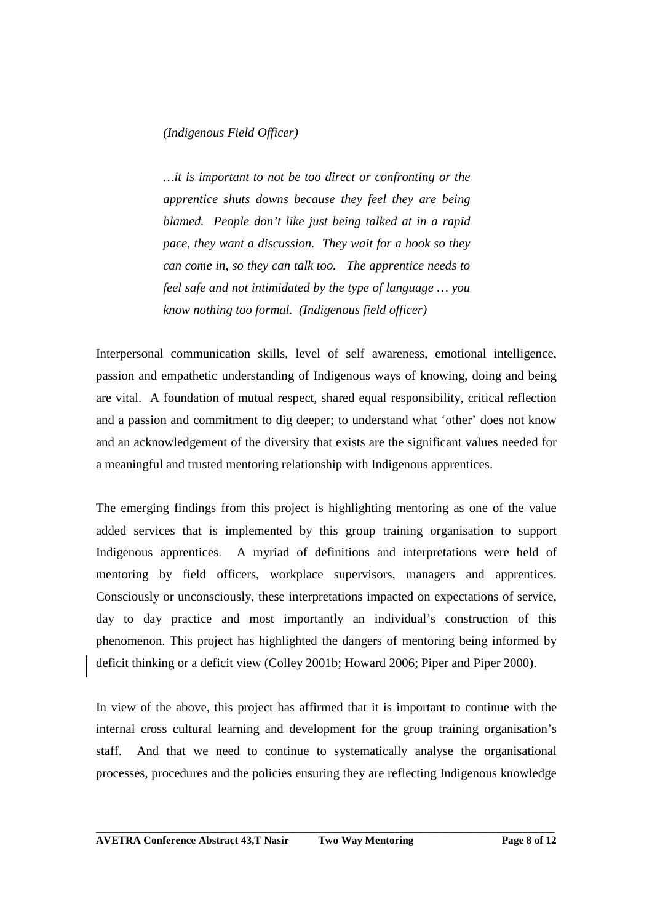#### *(Indigenous Field Officer)*

*…it is important to not be too direct or confronting or the apprentice shuts downs because they feel they are being blamed. People don't like just being talked at in a rapid pace, they want a discussion. They wait for a hook so they can come in, so they can talk too. The apprentice needs to feel safe and not intimidated by the type of language … you know nothing too formal. (Indigenous field officer)* 

Interpersonal communication skills, level of self awareness, emotional intelligence, passion and empathetic understanding of Indigenous ways of knowing, doing and being are vital. A foundation of mutual respect, shared equal responsibility, critical reflection and a passion and commitment to dig deeper; to understand what 'other' does not know and an acknowledgement of the diversity that exists are the significant values needed for a meaningful and trusted mentoring relationship with Indigenous apprentices.

The emerging findings from this project is highlighting mentoring as one of the value added services that is implemented by this group training organisation to support Indigenous apprentices. A myriad of definitions and interpretations were held of mentoring by field officers, workplace supervisors, managers and apprentices. Consciously or unconsciously, these interpretations impacted on expectations of service, day to day practice and most importantly an individual's construction of this phenomenon. This project has highlighted the dangers of mentoring being informed by deficit thinking or a deficit view (Colley 2001b; Howard 2006; Piper and Piper 2000).

In view of the above, this project has affirmed that it is important to continue with the internal cross cultural learning and development for the group training organisation's staff. And that we need to continue to systematically analyse the organisational processes, procedures and the policies ensuring they are reflecting Indigenous knowledge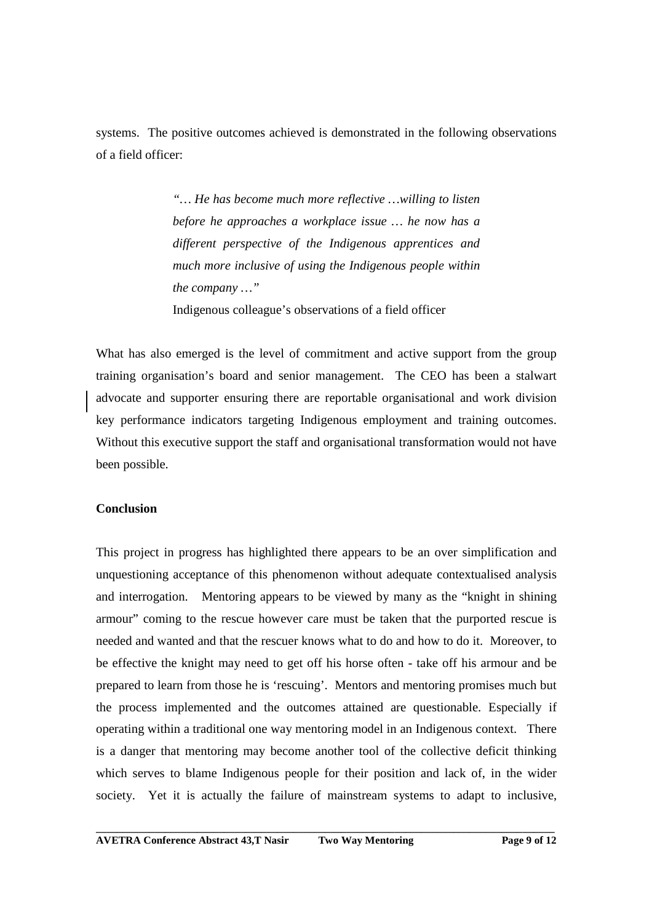systems. The positive outcomes achieved is demonstrated in the following observations of a field officer:

> *"… He has become much more reflective …willing to listen before he approaches a workplace issue … he now has a different perspective of the Indigenous apprentices and much more inclusive of using the Indigenous people within the company …"*  Indigenous colleague's observations of a field officer

What has also emerged is the level of commitment and active support from the group training organisation's board and senior management. The CEO has been a stalwart advocate and supporter ensuring there are reportable organisational and work division key performance indicators targeting Indigenous employment and training outcomes. Without this executive support the staff and organisational transformation would not have been possible.

#### **Conclusion**

This project in progress has highlighted there appears to be an over simplification and unquestioning acceptance of this phenomenon without adequate contextualised analysis and interrogation. Mentoring appears to be viewed by many as the "knight in shining armour" coming to the rescue however care must be taken that the purported rescue is needed and wanted and that the rescuer knows what to do and how to do it. Moreover, to be effective the knight may need to get off his horse often - take off his armour and be prepared to learn from those he is 'rescuing'. Mentors and mentoring promises much but the process implemented and the outcomes attained are questionable. Especially if operating within a traditional one way mentoring model in an Indigenous context. There is a danger that mentoring may become another tool of the collective deficit thinking which serves to blame Indigenous people for their position and lack of, in the wider society. Yet it is actually the failure of mainstream systems to adapt to inclusive,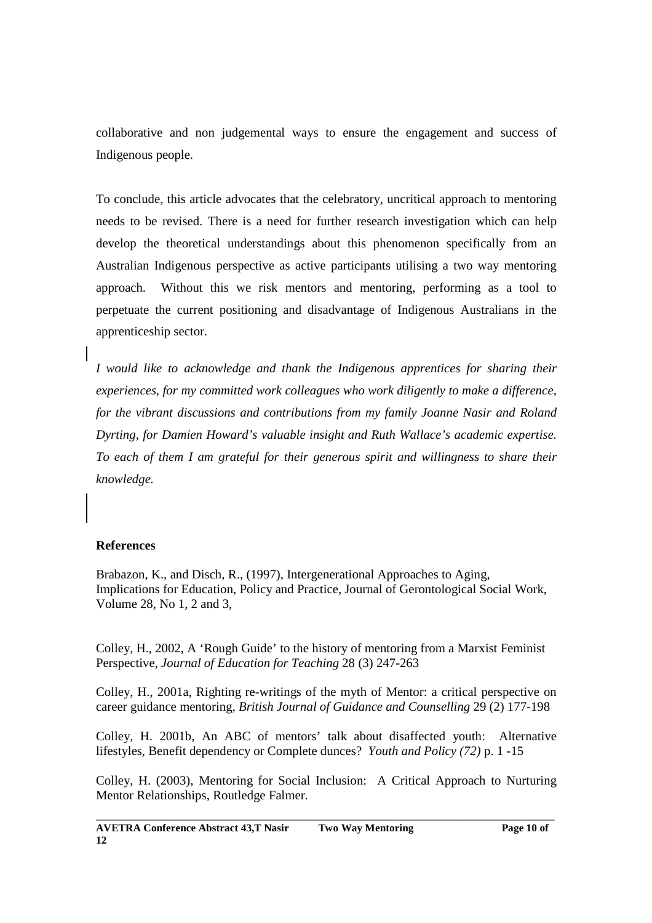collaborative and non judgemental ways to ensure the engagement and success of Indigenous people.

To conclude, this article advocates that the celebratory, uncritical approach to mentoring needs to be revised. There is a need for further research investigation which can help develop the theoretical understandings about this phenomenon specifically from an Australian Indigenous perspective as active participants utilising a two way mentoring approach. Without this we risk mentors and mentoring, performing as a tool to perpetuate the current positioning and disadvantage of Indigenous Australians in the apprenticeship sector.

*I would like to acknowledge and thank the Indigenous apprentices for sharing their experiences, for my committed work colleagues who work diligently to make a difference, for the vibrant discussions and contributions from my family Joanne Nasir and Roland Dyrting, for Damien Howard's valuable insight and Ruth Wallace's academic expertise. To each of them I am grateful for their generous spirit and willingness to share their knowledge.* 

# **References**

Brabazon, K., and Disch, R., (1997), Intergenerational Approaches to Aging, Implications for Education, Policy and Practice, Journal of Gerontological Social Work, Volume 28, No 1, 2 and 3,

Colley, H., 2002, A 'Rough Guide' to the history of mentoring from a Marxist Feminist Perspective, *Journal of Education for Teaching* 28 (3) 247-263

Colley, H., 2001a, Righting re-writings of the myth of Mentor: a critical perspective on career guidance mentoring, *British Journal of Guidance and Counselling* 29 (2) 177-198

Colley, H. 2001b, An ABC of mentors' talk about disaffected youth: Alternative lifestyles, Benefit dependency or Complete dunces? *Youth and Policy (72)* p. 1 -15

Colley, H. (2003), Mentoring for Social Inclusion: A Critical Approach to Nurturing Mentor Relationships, Routledge Falmer.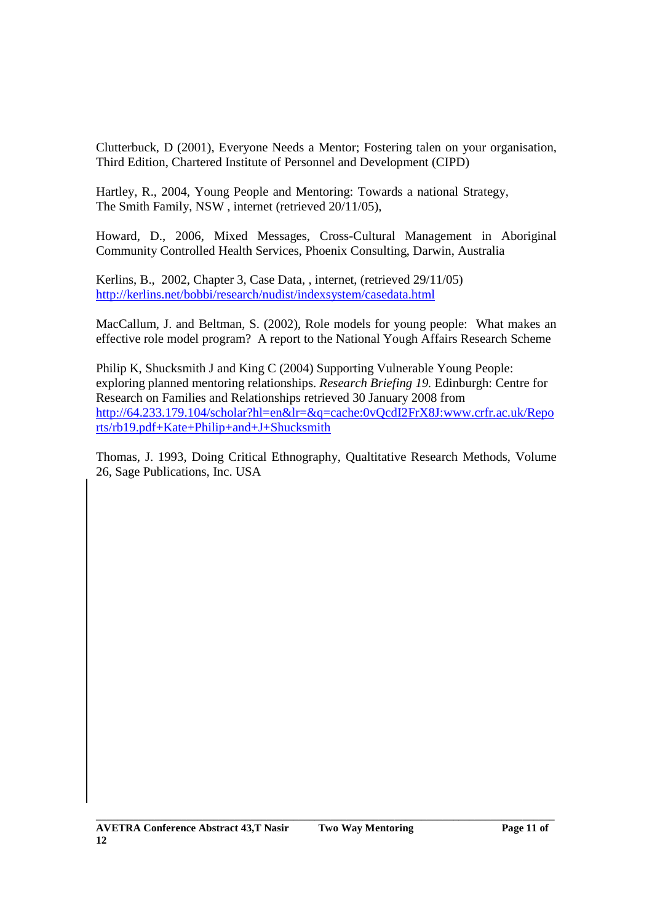Clutterbuck, D (2001), Everyone Needs a Mentor; Fostering talen on your organisation, Third Edition, Chartered Institute of Personnel and Development (CIPD)

Hartley, R., 2004, Young People and Mentoring: Towards a national Strategy, The Smith Family, NSW , internet (retrieved 20/11/05),

Howard, D., 2006, Mixed Messages, Cross-Cultural Management in Aboriginal Community Controlled Health Services, Phoenix Consulting, Darwin, Australia

Kerlins, B., 2002, Chapter 3, Case Data, , internet, (retrieved 29/11/05) http://kerlins.net/bobbi/research/nudist/indexsystem/casedata.html

MacCallum, J. and Beltman, S. (2002), Role models for young people: What makes an effective role model program? A report to the National Yough Affairs Research Scheme

Philip K, Shucksmith J and King C (2004) Supporting Vulnerable Young People: exploring planned mentoring relationships. *Research Briefing 19.* Edinburgh: Centre for Research on Families and Relationships retrieved 30 January 2008 from http://64.233.179.104/scholar?hl=en&lr=&q=cache:0vQcdI2FrX8J:www.crfr.ac.uk/Repo rts/rb19.pdf+Kate+Philip+and+J+Shucksmith

Thomas, J. 1993, Doing Critical Ethnography, Qualtitative Research Methods, Volume 26, Sage Publications, Inc. USA